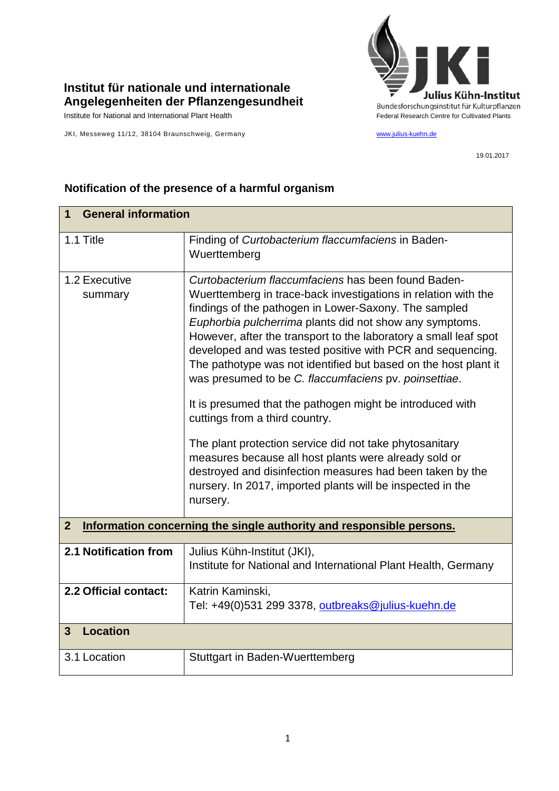

## **Institut für nationale und internationale Angelegenheiten der Pflanzengesundheit**

JKI, Messeweg 11/12, 38104 Braunschweig, Germany [www.julius-kuehn.de](http://www.julius-kuehn.de/)

19.01.2017

| <b>General information</b><br>1 |                                                                                                                                                                                                                                                                                                                                                                                                                                                                                                                                                                                                                                                                                                                                                                                                                                                                   |  |
|---------------------------------|-------------------------------------------------------------------------------------------------------------------------------------------------------------------------------------------------------------------------------------------------------------------------------------------------------------------------------------------------------------------------------------------------------------------------------------------------------------------------------------------------------------------------------------------------------------------------------------------------------------------------------------------------------------------------------------------------------------------------------------------------------------------------------------------------------------------------------------------------------------------|--|
|                                 |                                                                                                                                                                                                                                                                                                                                                                                                                                                                                                                                                                                                                                                                                                                                                                                                                                                                   |  |
| 1.1 Title                       | Finding of Curtobacterium flaccumfaciens in Baden-<br>Wuerttemberg                                                                                                                                                                                                                                                                                                                                                                                                                                                                                                                                                                                                                                                                                                                                                                                                |  |
| 1.2 Executive<br>summary        | Curtobacterium flaccumfaciens has been found Baden-<br>Wuerttemberg in trace-back investigations in relation with the<br>findings of the pathogen in Lower-Saxony. The sampled<br>Euphorbia pulcherrima plants did not show any symptoms.<br>However, after the transport to the laboratory a small leaf spot<br>developed and was tested positive with PCR and sequencing.<br>The pathotype was not identified but based on the host plant it<br>was presumed to be C. flaccumfaciens pv. poinsettiae.<br>It is presumed that the pathogen might be introduced with<br>cuttings from a third country.<br>The plant protection service did not take phytosanitary<br>measures because all host plants were already sold or<br>destroyed and disinfection measures had been taken by the<br>nursery. In 2017, imported plants will be inspected in the<br>nursery. |  |
| $\overline{2}$                  | Information concerning the single authority and responsible persons.                                                                                                                                                                                                                                                                                                                                                                                                                                                                                                                                                                                                                                                                                                                                                                                              |  |
|                                 |                                                                                                                                                                                                                                                                                                                                                                                                                                                                                                                                                                                                                                                                                                                                                                                                                                                                   |  |
| 2.1 Notification from           | Julius Kühn-Institut (JKI),<br>Institute for National and International Plant Health, Germany                                                                                                                                                                                                                                                                                                                                                                                                                                                                                                                                                                                                                                                                                                                                                                     |  |
| 2.2 Official contact:           | Katrin Kaminski,<br>Tel: +49(0)531 299 3378, outbreaks@julius-kuehn.de                                                                                                                                                                                                                                                                                                                                                                                                                                                                                                                                                                                                                                                                                                                                                                                            |  |
| <b>Location</b><br>3            |                                                                                                                                                                                                                                                                                                                                                                                                                                                                                                                                                                                                                                                                                                                                                                                                                                                                   |  |
| 3.1 Location                    | <b>Stuttgart in Baden-Wuerttemberg</b>                                                                                                                                                                                                                                                                                                                                                                                                                                                                                                                                                                                                                                                                                                                                                                                                                            |  |

## **Notification of the presence of a harmful organism**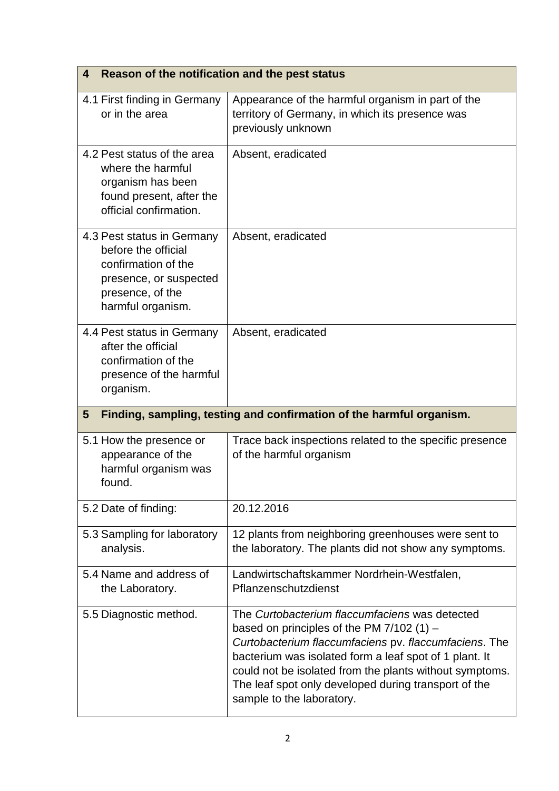| Reason of the notification and the pest status<br>4                                                                                         |                                                                                                                                                                                                                                                                                                                                                                  |  |
|---------------------------------------------------------------------------------------------------------------------------------------------|------------------------------------------------------------------------------------------------------------------------------------------------------------------------------------------------------------------------------------------------------------------------------------------------------------------------------------------------------------------|--|
| 4.1 First finding in Germany<br>or in the area                                                                                              | Appearance of the harmful organism in part of the<br>territory of Germany, in which its presence was<br>previously unknown                                                                                                                                                                                                                                       |  |
| 4.2 Pest status of the area<br>where the harmful<br>organism has been<br>found present, after the<br>official confirmation.                 | Absent, eradicated                                                                                                                                                                                                                                                                                                                                               |  |
| 4.3 Pest status in Germany<br>before the official<br>confirmation of the<br>presence, or suspected<br>presence, of the<br>harmful organism. | Absent, eradicated                                                                                                                                                                                                                                                                                                                                               |  |
| 4.4 Pest status in Germany<br>after the official<br>confirmation of the<br>presence of the harmful<br>organism.                             | Absent, eradicated                                                                                                                                                                                                                                                                                                                                               |  |
| Finding, sampling, testing and confirmation of the harmful organism.<br>$5\phantom{1}$                                                      |                                                                                                                                                                                                                                                                                                                                                                  |  |
| 5.1 How the presence or<br>appearance of the<br>harmful organism was<br>found.                                                              | Trace back inspections related to the specific presence<br>of the harmful organism                                                                                                                                                                                                                                                                               |  |
| 5.2 Date of finding:                                                                                                                        | 20.12.2016                                                                                                                                                                                                                                                                                                                                                       |  |
| 5.3 Sampling for laboratory<br>analysis.                                                                                                    | 12 plants from neighboring greenhouses were sent to<br>the laboratory. The plants did not show any symptoms.                                                                                                                                                                                                                                                     |  |
| 5.4 Name and address of<br>the Laboratory.                                                                                                  | Landwirtschaftskammer Nordrhein-Westfalen,<br>Pflanzenschutzdienst                                                                                                                                                                                                                                                                                               |  |
| 5.5 Diagnostic method.                                                                                                                      | The Curtobacterium flaccumfaciens was detected<br>based on principles of the PM $7/102$ (1) –<br>Curtobacterium flaccumfaciens pv. flaccumfaciens. The<br>bacterium was isolated form a leaf spot of 1 plant. It<br>could not be isolated from the plants without symptoms.<br>The leaf spot only developed during transport of the<br>sample to the laboratory. |  |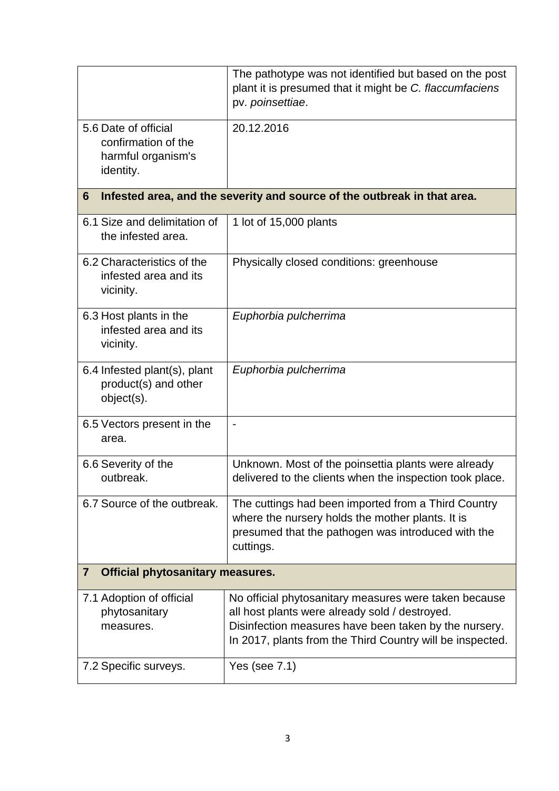|                                                                                | The pathotype was not identified but based on the post<br>plant it is presumed that it might be C. flaccumfaciens<br>pv. poinsettiae.                                                                                         |  |
|--------------------------------------------------------------------------------|-------------------------------------------------------------------------------------------------------------------------------------------------------------------------------------------------------------------------------|--|
| 5.6 Date of official<br>confirmation of the<br>harmful organism's<br>identity. | 20.12.2016                                                                                                                                                                                                                    |  |
| 6                                                                              | Infested area, and the severity and source of the outbreak in that area.                                                                                                                                                      |  |
| 6.1 Size and delimitation of<br>the infested area.                             | 1 lot of 15,000 plants                                                                                                                                                                                                        |  |
| 6.2 Characteristics of the<br>infested area and its<br>vicinity.               | Physically closed conditions: greenhouse                                                                                                                                                                                      |  |
| 6.3 Host plants in the<br>infested area and its<br>vicinity.                   | Euphorbia pulcherrima                                                                                                                                                                                                         |  |
| 6.4 Infested plant(s), plant<br>product(s) and other<br>object(s).             | Euphorbia pulcherrima                                                                                                                                                                                                         |  |
| 6.5 Vectors present in the<br>area.                                            | $\blacksquare$                                                                                                                                                                                                                |  |
| 6.6 Severity of the<br>outbreak.                                               | Unknown. Most of the poinsettia plants were already<br>delivered to the clients when the inspection took place.                                                                                                               |  |
| 6.7 Source of the outbreak.                                                    | The cuttings had been imported from a Third Country<br>where the nursery holds the mother plants. It is<br>presumed that the pathogen was introduced with the<br>cuttings.                                                    |  |
| <b>Official phytosanitary measures.</b><br>7                                   |                                                                                                                                                                                                                               |  |
| 7.1 Adoption of official<br>phytosanitary<br>measures.                         | No official phytosanitary measures were taken because<br>all host plants were already sold / destroyed.<br>Disinfection measures have been taken by the nursery.<br>In 2017, plants from the Third Country will be inspected. |  |
| 7.2 Specific surveys.                                                          | Yes (see $7.1$ )                                                                                                                                                                                                              |  |